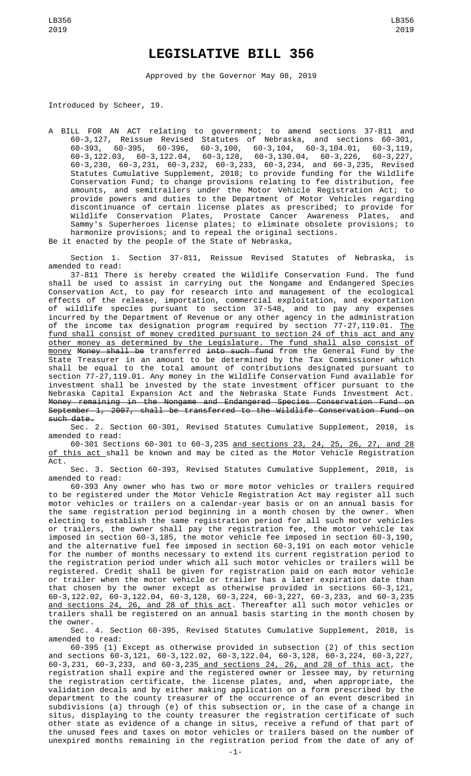## **LEGISLATIVE BILL 356**

Approved by the Governor May 08, 2019

Introduced by Scheer, 19.

A BILL FOR AN ACT relating to government; to amend sections 37-811 and 60-3,127, Reissue Revised Statutes of Nebraska, and sections 60-301, 60-393, 60-395, 60-396, 60-3,100, 60-3,104, 60-3,104.01, 60-3,119, 60-3,122.03, 60-3,122.04, 60-3,128, 60-3,130.04, 60-3,226, 60-3,227, 60-3,230, 60-3,231, 60-3,232, 60-3,233, 60-3,234, and 60-3,235, Revised Statutes Cumulative Supplement, 2018; to provide funding for the Wildlife Conservation Fund; to change provisions relating to fee distribution, fee amounts, and semitrailers under the Motor Vehicle Registration Act; to provide powers and duties to the Department of Motor Vehicles regarding discontinuance of certain license plates as prescribed; to provide for Wildlife Conservation Plates, Prostate Cancer Awareness Plates, and Sammy's Superheroes license plates; to eliminate obsolete provisions; to harmonize provisions; and to repeal the original sections.

Be it enacted by the people of the State of Nebraska,

Section 1. Section 37-811, Reissue Revised Statutes of Nebraska, is amended to read:

37-811 There is hereby created the Wildlife Conservation Fund. The fund shall be used to assist in carrying out the Nongame and Endangered Species Conservation Act, to pay for research into and management of the ecological effects of the release, importation, commercial exploitation, and exportation of wildlife species pursuant to section 37-548, and to pay any expenses incurred by the Department of Revenue or any other agency in the administration of the income tax designation program required by section 77-27,119.01. <u>The</u> fund shall consist of money credited pursuant to section 24 of this act and any other money as determined by the Legislature. The fund shall also consist of money Money shall be transferred into such fund from the General Fund by the State Treasurer in an amount to be determined by the Tax Commissioner which shall be equal to the total amount of contributions designated pursuant to section 77-27,119.01. Any money in the Wildlife Conservation Fund available for investment shall be invested by the state investment officer pursuant to the Nebraska Capital Expansion Act and the Nebraska State Funds Investment Act. Money remaining in the Nongame and Endangered Species Conservation Fund on September 1, 2007, shall be transferred to the Wildlife Conservation Fund on such date.

Sec. 2. Section 60-301, Revised Statutes Cumulative Supplement, 2018, is amended to read:

60-301 Sections 60-301 to 60-3,235 and sections 23, 24, 25, 26, 27, and 28 of this act shall be known and may be cited as the Motor Vehicle Registration Act.

Sec. 3. Section 60-393, Revised Statutes Cumulative Supplement, 2018, is amended to read:

60-393 Any owner who has two or more motor vehicles or trailers required to be registered under the Motor Vehicle Registration Act may register all such motor vehicles or trailers on a calendar-year basis or on an annual basis for the same registration period beginning in a month chosen by the owner. When electing to establish the same registration period for all such motor vehicles or trailers, the owner shall pay the registration fee, the motor vehicle tax imposed in section 60-3,185, the motor vehicle fee imposed in section 60-3,190, and the alternative fuel fee imposed in section 60-3,191 on each motor vehicle for the number of months necessary to extend its current registration period to the registration period under which all such motor vehicles or trailers will be registered. Credit shall be given for registration paid on each motor vehicle or trailer when the motor vehicle or trailer has a later expiration date than that chosen by the owner except as otherwise provided in sections 60-3,121, 60-3,122.02, 60-3,122.04, 60-3,128, 60-3,224, 60-3,227, 60-3,233, and 60-3,235 and sections 24, 26, and 28 of this act. Thereafter all such motor vehicles or trailers shall be registered on an annual basis starting in the month chosen by the owner.

Sec. 4. Section 60-395, Revised Statutes Cumulative Supplement, 2018, is amended to read:

60-395 (1) Except as otherwise provided in subsection (2) of this section and sections 60-3,121, 60-3,122.02, 60-3,122.04, 60-3,128, 60-3,224, 60-3,227, 60-3,231, 60-3,233, and 60-3,235 and sections 24, 26, and 28 of this act, the registration shall expire and the registered owner or lessee may, by returning the registration certificate, the license plates, and, when appropriate, the validation decals and by either making application on a form prescribed by the department to the county treasurer of the occurrence of an event described in subdivisions (a) through (e) of this subsection or, in the case of a change in situs, displaying to the county treasurer the registration certificate of such other state as evidence of a change in situs, receive a refund of that part of the unused fees and taxes on motor vehicles or trailers based on the number of unexpired months remaining in the registration period from the date of any of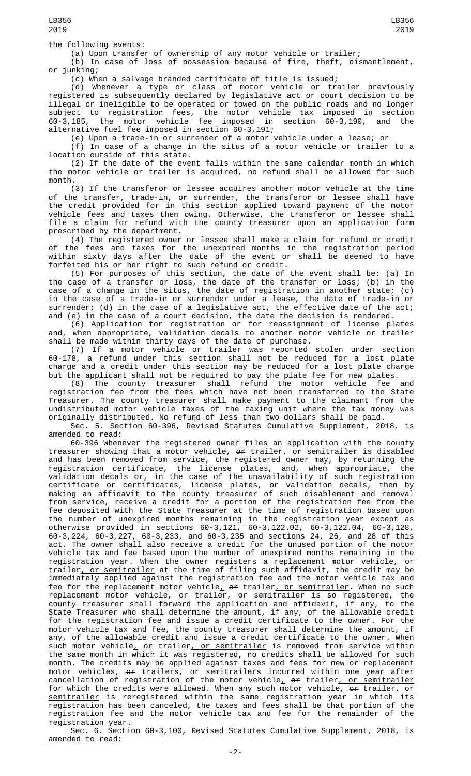(a) Upon transfer of ownership of any motor vehicle or trailer;

(b) In case of loss of possession because of fire, theft, dismantlement, or junking;

(c) When a salvage branded certificate of title is issued;

(d) Whenever a type or class of motor vehicle or trailer previously registered is subsequently declared by legislative act or court decision to be illegal or ineligible to be operated or towed on the public roads and no longer subject to registration fees, the motor vehicle tax imposed in section 60-3,185, the motor vehicle fee imposed in section 60-3,190, and the alternative fuel fee imposed in section 60-3,191;

(e) Upon a trade-in or surrender of a motor vehicle under a lease; or

(f) In case of a change in the situs of a motor vehicle or trailer to a location outside of this state.

(2) If the date of the event falls within the same calendar month in which the motor vehicle or trailer is acquired, no refund shall be allowed for such month.

(3) If the transferor or lessee acquires another motor vehicle at the time of the transfer, trade-in, or surrender, the transferor or lessee shall have the credit provided for in this section applied toward payment of the motor vehicle fees and taxes then owing. Otherwise, the transferor or lessee shall file a claim for refund with the county treasurer upon an application form prescribed by the department.

(4) The registered owner or lessee shall make a claim for refund or credit of the fees and taxes for the unexpired months in the registration period within sixty days after the date of the event or shall be deemed to have forfeited his or her right to such refund or credit.

(5) For purposes of this section, the date of the event shall be: (a) In the case of a transfer or loss, the date of the transfer or loss; (b) in the case of a change in the situs, the date of registration in another state; (c) in the case of a trade-in or surrender under a lease, the date of trade-in or surrender; (d) in the case of a legislative act, the effective date of the act; and (e) in the case of a court decision, the date the decision is rendered.

(6) Application for registration or for reassignment of license plates and, when appropriate, validation decals to another motor vehicle or trailer shall be made within thirty days of the date of purchase.

(7) If a motor vehicle or trailer was reported stolen under section 60-178, a refund under this section shall not be reduced for a lost plate charge and a credit under this section may be reduced for a lost plate charge but the applicant shall not be required to pay the plate fee for new plates.

(8) The county treasurer shall refund the motor vehicle fee and registration fee from the fees which have not been transferred to the State Treasurer. The county treasurer shall make payment to the claimant from the undistributed motor vehicle taxes of the taxing unit where the tax money was originally distributed. No refund of less than two dollars shall be paid.

Sec. 5. Section 60-396, Revised Statutes Cumulative Supplement, 2018, is amended to read:<br>60-396 Whenever the registered owner files an application with the county

60-396 Whenever the registered owner files an application with the county treasurer showing that a motor vehicle $_{L}$  <del>or</del> trailer<u>, or semitrailer</u> is disabled and has been removed from service, the registered owner may, by returning the registration certificate, the license plates, and, when appropriate, the validation decals or, in the case of the unavailability of such registration certificate or certificates, license plates, or validation decals, then by making an affidavit to the county treasurer of such disablement and removal from service, receive a credit for a portion of the registration fee from the fee deposited with the State Treasurer at the time of registration based upon the number of unexpired months remaining in the registration year except as otherwise provided in sections 60-3,121, 60-3,122.02, 60-3,122.04, 60-3,128, 60-3,224, 60-3,227, 60-3,233, and 60-3,235 and sections 24, 26, and 28 of this <u>act</u>. The owner shall also receive a credit for the unused portion of the motor vehicle tax and fee based upon the number of unexpired months remaining in the registration year. When the owner registers a replacement motor vehicle $_{\rm \star}$  <del>or</del> trailer, or semitrailer at the time of filing such affidavit, the credit may be immediately applied against the registration fee and the motor vehicle tax and fee for the replacement motor vehicle<u>, or trailer, or semitrailer</u>. When no such replacement motor vehicle<u>,</u> <del>or</del> trailer<u>, or semitrailer</u> is so registered, the county treasurer shall forward the application and affidavit, if any, to the State Treasurer who shall determine the amount, if any, of the allowable credit for the registration fee and issue a credit certificate to the owner. For the motor vehicle tax and fee, the county treasurer shall determine the amount, if any, of the allowable credit and issue a credit certificate to the owner. When such motor vehicle<u>,</u> <del>or</del> trailer<u>, or semitrailer</u> is removed from service within the same month in which it was registered, no credits shall be allowed for such month. The credits may be applied against taxes and fees for new or replacement motor vehicles<u>,</u> <del>or</del> trailers<u>, or semitrailers</u> incurred within one year after cancellation of registration of the motor vehicle<u>,</u> <del>or</del> trailer<u>, or semitrailer</u> for which the credits were allowed. When any such motor vehicle<u>, or</u> trailer<u>, or</u> semitrailer is reregistered within the same registration year in which its registration has been canceled, the taxes and fees shall be that portion of the registration fee and the motor vehicle tax and fee for the remainder of the registration year.

Sec. 6. Section 60-3,100, Revised Statutes Cumulative Supplement, 2018, is amended to read: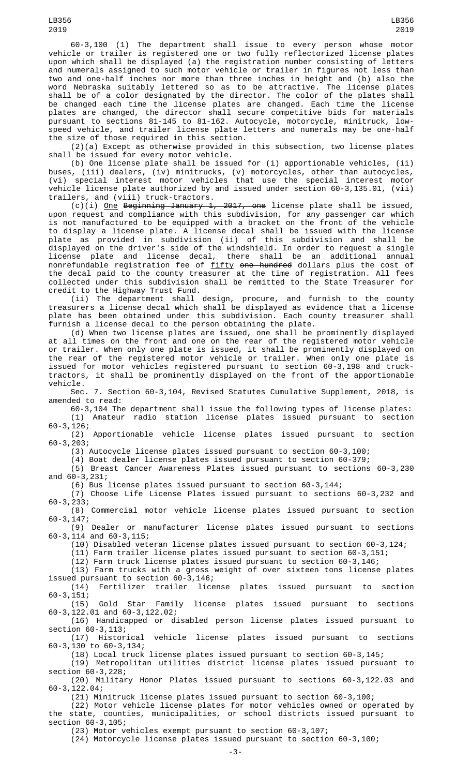60-3,100 (1) The department shall issue to every person whose motor vehicle or trailer is registered one or two fully reflectorized license plates upon which shall be displayed (a) the registration number consisting of letters and numerals assigned to such motor vehicle or trailer in figures not less than two and one-half inches nor more than three inches in height and (b) also the word Nebraska suitably lettered so as to be attractive. The license plates shall be of a color designated by the director. The color of the plates shall be changed each time the license plates are changed. Each time the license plates are changed, the director shall secure competitive bids for materials pursuant to sections 81-145 to 81-162. Autocycle, motorcycle, minitruck, lowspeed vehicle, and trailer license plate letters and numerals may be one-half the size of those required in this section.

(2)(a) Except as otherwise provided in this subsection, two license plates shall be issued for every motor vehicle.

(b) One license plate shall be issued for (i) apportionable vehicles, (ii) buses, (iii) dealers, (iv) minitrucks, (v) motorcycles, other than autocycles, (vi) special interest motor vehicles that use the special interest motor vehicle license plate authorized by and issued under section 60-3,135.01, (vii) trailers, and (viii) truck-tractors.

(c)(i) <u>One</u> Beginning January 1, 2017, one license plate shall be issued, upon request and compliance with this subdivision, for any passenger car which is not manufactured to be equipped with a bracket on the front of the vehicle to display a license plate. A license decal shall be issued with the license plate as provided in subdivision (ii) of this subdivision and shall be displayed on the driver's side of the windshield. In order to request a single license plate and license decal, there shall be an additional annual nonrefundable registration fee of <u>fifty</u> <del>one hundred</del> dollars plus the cost of the decal paid to the county treasurer at the time of registration. All fees collected under this subdivision shall be remitted to the State Treasurer for credit to the Highway Trust Fund.

(ii) The department shall design, procure, and furnish to the county treasurers a license decal which shall be displayed as evidence that a license plate has been obtained under this subdivision. Each county treasurer shall furnish a license decal to the person obtaining the plate.

(d) When two license plates are issued, one shall be prominently displayed at all times on the front and one on the rear of the registered motor vehicle or trailer. When only one plate is issued, it shall be prominently displayed on the rear of the registered motor vehicle or trailer. When only one plate is issued for motor vehicles registered pursuant to section 60-3,198 and trucktractors, it shall be prominently displayed on the front of the apportionable vehicle.

Sec. 7. Section 60-3,104, Revised Statutes Cumulative Supplement, 2018, is amended to read:

60-3,104 The department shall issue the following types of license plates: (1) Amateur radio station license plates issued pursuant to section 60-3,126;

Apportionable vehicle license plates issued pursuant to section  $(2)$ <br>60-3,203;

(3) Autocycle license plates issued pursuant to section 60-3,100;

(4) Boat dealer license plates issued pursuant to section 60-379;

(5) Breast Cancer Awareness Plates issued pursuant to sections 60-3,230 and 60-3,231;

(6) Bus license plates issued pursuant to section 60-3,144;

(7) Choose Life License Plates issued pursuant to sections 60-3,232 and 60-3,233;

(8) Commercial motor vehicle license plates issued pursuant to section 60-3,147;

(9) Dealer or manufacturer license plates issued pursuant to sections 60-3,114 and 60-3,115;

(10) Disabled veteran license plates issued pursuant to section 60-3,124;

(11) Farm trailer license plates issued pursuant to section 60-3,151;

 $(12)$  Farm truck license plates issued pursuant to section 60-3,146;

(13) Farm trucks with a gross weight of over sixteen tons license plates

issued pursuant to section 60-3,146; license plates issued pursuant to section  $60 - 3, 151;$ 

(15) Gold Star Family license plates issued pursuant to sections 60-3,122.01 and 60-3,122.02;

(16) Handicapped or disabled person license plates issued pursuant to section 60-3,113;<br>(17) Historical

vehicle license plates issued pursuant to sections 60-3,130 to 60-3,134;

(18) Local truck license plates issued pursuant to section 60-3,145;

(19) Metropolitan utilities district license plates issued pursuant to section 60-3,228;

(20) Military Honor Plates issued pursuant to sections 60-3,122.03 and 60-3,122.04;

(21) Minitruck license plates issued pursuant to section 60-3,100;

(22) Motor vehicle license plates for motor vehicles owned or operated by the state, counties, municipalities, or school districts issued pursuant to section 60-3,105;

(23) Motor vehicles exempt pursuant to section 60-3,107;

(24) Motorcycle license plates issued pursuant to section 60-3,100;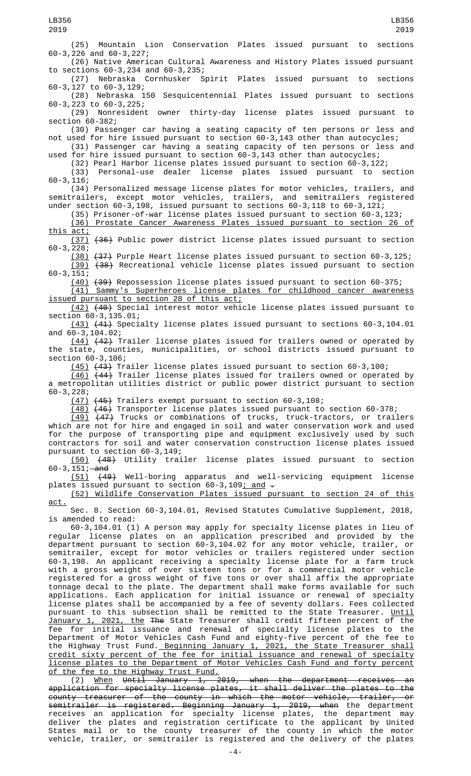(25) Mountain Lion Conservation Plates issued pursuant to sections 60-3,226 and 60-3,227; (26) Native American Cultural Awareness and History Plates issued pursuant to sections 60-3,234 and 60-3,235; Spirit Plates issued pursuant to sections 60-3,127 to 60-3,129; (28) Nebraska 150 Sesquicentennial Plates issued pursuant to sections 60-3,223 to 60-3,225; (29) Nonresident owner thirty-day license plates issued pursuant to section 60-382; (30) Passenger car having a seating capacity of ten persons or less and not used for hire issued pursuant to section 60-3,143 other than autocycles; (31) Passenger car having a seating capacity of ten persons or less and used for hire issued pursuant to section 60-3,143 other than autocycles; (32) Pearl Harbor license plates issued pursuant to section  $60-3,122$ ;<br>(33) Personal-use dealer license plates issued pursuant to se Personal-use dealer license plates issued pursuant to section 60-3,116; (34) Personalized message license plates for motor vehicles, trailers, and semitrailers, except motor vehicles, trailers, and semitrailers registered under section 60-3,198, issued pursuant to sections 60-3,118 to 60-3,121; (35) Prisoner-of-war license plates issued pursuant to section 60-3,123; (36) Prostate Cancer Awareness Plates issued pursuant to section 26 of this act; (37) (36) Public power district license plates issued pursuant to section 60-3,228; (38) (37) Purple Heart license plates issued pursuant to section 60-3,125; (39) (38) Recreational vehicle license plates issued pursuant to section 60-3,151; (40) (39) Repossession license plates issued pursuant to section 60-375; (41) Sammy's Superheroes license plates for childhood cancer awareness issued pursuant to section 28 of this act; (42) (40) Special interest motor vehicle license plates issued pursuant to section 60-3, 135.01; (43) (41) Specialty license plates issued pursuant to sections 60-3,104.01 and 60-3,104.02; (44) (42) Trailer license plates issued for trailers owned or operated by the state, counties, municipalities, or school districts issued pursuant to section 60-3,106; (45) (43) Trailer license plates issued pursuant to section 60-3,100;  $(44)$  Trailer license plates issued for trailers owned or operated by a metropolitan utilities district or public power district pursuant to section 60-3,228; (47) (45) Trailers exempt pursuant to section 60-3,108; (48) (46) Transporter license plates issued pursuant to section 60-378; (49) (47) Trucks or combinations of trucks, truck-tractors, or trailers which are not for hire and engaged in soil and water conservation work and used for the purpose of transporting pipe and equipment exclusively used by such contractors for soil and water conservation construction license plates issued pursuant to section 60-3,149; (50) (48) Utility trailer license plates issued pursuant to section 60-3,  $151;$  and (51) (49) Well-boring apparatus and well-servicing equipment license plates issued pursuant to section 60-3,109; and -(52) Wildlife Conservation Plates issued pursuant to section 24 of this act. Sec. 8. Section 60-3,104.01, Revised Statutes Cumulative Supplement, 2018, is amended to read: 60-3,104.01 (1) A person may apply for specialty license plates in lieu of regular license plates on an application prescribed and provided by the department pursuant to section 60-3,104.02 for any motor vehicle, trailer, or semitrailer, except for motor vehicles or trailers registered under section 60-3,198. An applicant receiving a specialty license plate for a farm truck with a gross weight of over sixteen tons or for a commercial motor vehicle registered for a gross weight of five tons or over shall affix the appropriate tonnage decal to the plate. The department shall make forms available for such applications. Each application for initial issuance or renewal of specialty license plates shall be accompanied by a fee of seventy dollars. Fees collected pursuant to this subsection shall be remitted to the State Treasurer. <u>Until</u> January 1, 2021, the The State Treasurer shall credit fifteen percent of the fee for initial issuance and renewal of specialty license plates to the Department of Motor Vehicles Cash Fund and eighty-five percent of the fee to the Highway Trust Fund. Beginning January 1, 2021, the State Treasurer shall credit sixty percent of the fee for initial issuance and renewal of specialty license plates to the Department of Motor Vehicles Cash Fund and forty percent of the fee to the Highway Trust Fund. LB356 2019 LB356 2019

(2) When Until January 1, 2019, when the department receives an application for specialty license plates, it shall deliver the plates to the county treasurer of the county in which the motor vehicle, trailer, or semitrailer is registered. Beginning January 1, 2019, when the department receives an application for specialty license plates, the department may deliver the plates and registration certificate to the applicant by United States mail or to the county treasurer of the county in which the motor vehicle, trailer, or semitrailer is registered and the delivery of the plates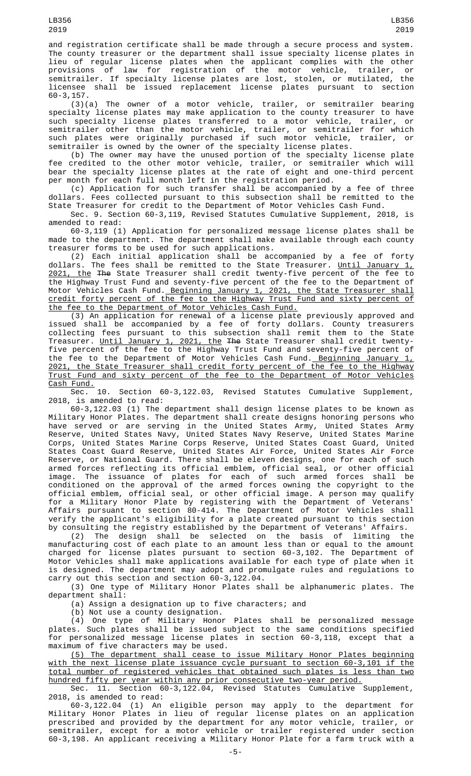and registration certificate shall be made through a secure process and system. The county treasurer or the department shall issue specialty license plates in lieu of regular license plates when the applicant complies with the other provisions of law for registration of the motor vehicle, trailer, or semitrailer. If specialty license plates are lost, stolen, or mutilated, the licensee shall be issued replacement license plates pursuant to section 60-3,157.

(3)(a) The owner of a motor vehicle, trailer, or semitrailer bearing specialty license plates may make application to the county treasurer to have such specialty license plates transferred to a motor vehicle, trailer, or semitrailer other than the motor vehicle, trailer, or semitrailer for which such plates were originally purchased if such motor vehicle, trailer, or semitrailer is owned by the owner of the specialty license plates.

(b) The owner may have the unused portion of the specialty license plate fee credited to the other motor vehicle, trailer, or semitrailer which will bear the specialty license plates at the rate of eight and one-third percent per month for each full month left in the registration period.

(c) Application for such transfer shall be accompanied by a fee of three dollars. Fees collected pursuant to this subsection shall be remitted to the State Treasurer for credit to the Department of Motor Vehicles Cash Fund.

Sec. 9. Section 60-3,119, Revised Statutes Cumulative Supplement, 2018, is amended to read:

60-3,119 (1) Application for personalized message license plates shall be made to the department. The department shall make available through each county treasurer forms to be used for such applications.

(2) Each initial application shall be accompanied by a fee of forty dollars. The fees shall be remitted to the State Treasurer. <u>Until January 1,</u> 2021, the The State Treasurer shall credit twenty-five percent of the fee to the Highway Trust Fund and seventy-five percent of the fee to the Department of Motor Vehicles Cash Fund.<u> Beginning January 1, 2021, the State Treasurer shall</u> credit forty percent of the fee to the Highway Trust Fund and sixty percent of the fee to the Department of Motor Vehicles Cash Fund.

(3) An application for renewal of a license plate previously approved and issued shall be accompanied by a fee of forty dollars. County treasurers collecting fees pursuant to this subsection shall remit them to the State Treasurer. <u>Until January 1, 2021, the</u> <del>The</del> State Treasurer shall credit twentyfive percent of the fee to the Highway Trust Fund and seventy-five percent of the fee to the Department of Motor Vehicles Cash Fund. <u>Beginning January 1,</u> 2021, the State Treasurer shall credit forty percent of the fee to the Highway Trust Fund and sixty percent of the fee to the Department of Motor Vehicles Cash Fund.<br>Sec. 10.

Section 60-3,122.03, Revised Statutes Cumulative Supplement, 2018, is amended to read:

60-3,122.03 (1) The department shall design license plates to be known as Military Honor Plates. The department shall create designs honoring persons who have served or are serving in the United States Army, United States Army Reserve, United States Navy, United States Navy Reserve, United States Marine Corps, United States Marine Corps Reserve, United States Coast Guard, United States Coast Guard Reserve, United States Air Force, United States Air Force Reserve, or National Guard. There shall be eleven designs, one for each of such armed forces reflecting its official emblem, official seal, or other official image. The issuance of plates for each of such armed forces shall be conditioned on the approval of the armed forces owning the copyright to the official emblem, official seal, or other official image. A person may qualify for a Military Honor Plate by registering with the Department of Veterans' Affairs pursuant to section 80-414. The Department of Motor Vehicles shall verify the applicant's eligibility for a plate created pursuant to this section by consulting the registry established by the Department of Veterans' Affairs.

(2) The design shall be selected on the basis of limiting the manufacturing cost of each plate to an amount less than or equal to the amount charged for license plates pursuant to section 60-3,102. The Department of Motor Vehicles shall make applications available for each type of plate when it is designed. The department may adopt and promulgate rules and regulations to carry out this section and section 60-3,122.04.

(3) One type of Military Honor Plates shall be alphanumeric plates. The department shall:

(a) Assign a designation up to five characters; and

(b) Not use a county designation.

(4) One type of Military Honor Plates shall be personalized message plates. Such plates shall be issued subject to the same conditions specified for personalized message license plates in section 60-3,118, except that a maximum of five characters may be used.

(5) The department shall cease to issue Military Honor Plates beginning with the next license plate issuance cycle pursuant to section 60-3,101 if the total number of registered vehicles that obtained such plates is less than two hundred fifty per year within any prior consecutive two-year period.

Sec. 11. Section 60-3,122.04, Revised Statutes Cumulative Supplement, 2018, is amended to read:

60-3,122.04 (1) An eligible person may apply to the department for Military Honor Plates in lieu of regular license plates on an application prescribed and provided by the department for any motor vehicle, trailer, or semitrailer, except for a motor vehicle or trailer registered under section 60-3,198. An applicant receiving a Military Honor Plate for a farm truck with a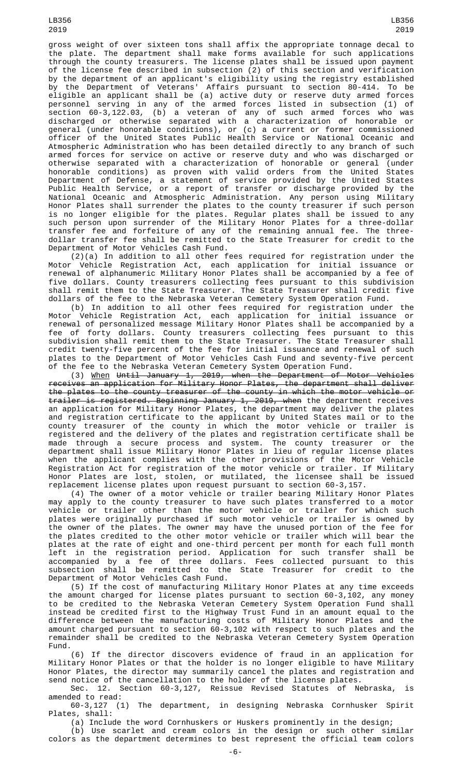gross weight of over sixteen tons shall affix the appropriate tonnage decal to the plate. The department shall make forms available for such applications through the county treasurers. The license plates shall be issued upon payment of the license fee described in subsection (2) of this section and verification by the department of an applicant's eligibility using the registry established by the Department of Veterans' Affairs pursuant to section 80-414. To be eligible an applicant shall be (a) active duty or reserve duty armed forces personnel serving in any of the armed forces listed in subsection (1) of section 60-3,122.03, (b) a veteran of any of such armed forces who was discharged or otherwise separated with a characterization of honorable or general (under honorable conditions), or (c) a current or former commissioned officer of the United States Public Health Service or National Oceanic and Atmospheric Administration who has been detailed directly to any branch of such armed forces for service on active or reserve duty and who was discharged or otherwise separated with a characterization of honorable or general (under honorable conditions) as proven with valid orders from the United States Department of Defense, a statement of service provided by the United States Public Health Service, or a report of transfer or discharge provided by the National Oceanic and Atmospheric Administration. Any person using Military Honor Plates shall surrender the plates to the county treasurer if such person is no longer eligible for the plates. Regular plates shall be issued to any such person upon surrender of the Military Honor Plates for a three-dollar transfer fee and forfeiture of any of the remaining annual fee. The threedollar transfer fee shall be remitted to the State Treasurer for credit to the Department of Motor Vehicles Cash Fund.

(2)(a) In addition to all other fees required for registration under the Motor Vehicle Registration Act, each application for initial issuance or renewal of alphanumeric Military Honor Plates shall be accompanied by a fee of five dollars. County treasurers collecting fees pursuant to this subdivision shall remit them to the State Treasurer. The State Treasurer shall credit five dollars of the fee to the Nebraska Veteran Cemetery System Operation Fund.

(b) In addition to all other fees required for registration under the Motor Vehicle Registration Act, each application for initial issuance or renewal of personalized message Military Honor Plates shall be accompanied by a fee of forty dollars. County treasurers collecting fees pursuant to this subdivision shall remit them to the State Treasurer. The State Treasurer shall credit twenty-five percent of the fee for initial issuance and renewal of such plates to the Department of Motor Vehicles Cash Fund and seventy-five percent of the fee to the Nebraska Veteran Cemetery System Operation Fund.

(3) When Until January 1, 2019, when the Department of Motor Vehicles receives an application for Military Honor Plates, the department shall deliver the plates to the county treasurer of the county in which the motor vehicle or trailer is registered. Beginning January 1, 2019, when the department receives an application for Military Honor Plates, the department may deliver the plates and registration certificate to the applicant by United States mail or to the county treasurer of the county in which the motor vehicle or trailer is registered and the delivery of the plates and registration certificate shall be made through a secure process and system. The county treasurer or the department shall issue Military Honor Plates in lieu of regular license plates when the applicant complies with the other provisions of the Motor Vehicle Registration Act for registration of the motor vehicle or trailer. If Military Honor Plates are lost, stolen, or mutilated, the licensee shall be issued replacement license plates upon request pursuant to section 60-3,157.

(4) The owner of a motor vehicle or trailer bearing Military Honor Plates may apply to the county treasurer to have such plates transferred to a motor vehicle or trailer other than the motor vehicle or trailer for which such plates were originally purchased if such motor vehicle or trailer is owned by the owner of the plates. The owner may have the unused portion of the fee for the plates credited to the other motor vehicle or trailer which will bear the plates at the rate of eight and one-third percent per month for each full month left in the registration period. Application for such transfer shall be accompanied by a fee of three dollars. Fees collected pursuant to this subsection shall be remitted to the State Treasurer for credit to the Department of Motor Vehicles Cash Fund.

(5) If the cost of manufacturing Military Honor Plates at any time exceeds the amount charged for license plates pursuant to section 60-3,102, any money to be credited to the Nebraska Veteran Cemetery System Operation Fund shall instead be credited first to the Highway Trust Fund in an amount equal to the difference between the manufacturing costs of Military Honor Plates and the amount charged pursuant to section 60-3,102 with respect to such plates and the remainder shall be credited to the Nebraska Veteran Cemetery System Operation Fund.

(6) If the director discovers evidence of fraud in an application for Military Honor Plates or that the holder is no longer eligible to have Military Honor Plates, the director may summarily cancel the plates and registration and send notice of the cancellation to the holder of the license plates.

Sec. 12. Section 60-3,127, Reissue Revised Statutes of Nebraska, is amended to read:

60-3,127 (1) The department, in designing Nebraska Cornhusker Spirit Plates, shall:

(a) Include the word Cornhuskers or Huskers prominently in the design;

(b) Use scarlet and cream colors in the design or such other similar colors as the department determines to best represent the official team colors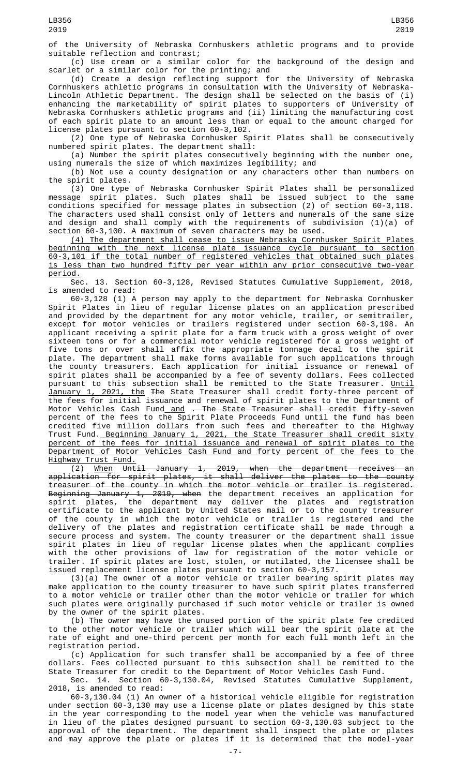of the University of Nebraska Cornhuskers athletic programs and to provide suitable reflection and contrast;

(c) Use cream or a similar color for the background of the design and scarlet or a similar color for the printing; and

(d) Create a design reflecting support for the University of Nebraska Cornhuskers athletic programs in consultation with the University of Nebraska-Lincoln Athletic Department. The design shall be selected on the basis of (i) enhancing the marketability of spirit plates to supporters of University of Nebraska Cornhuskers athletic programs and (ii) limiting the manufacturing cost of each spirit plate to an amount less than or equal to the amount charged for license plates pursuant to section 60-3,102.

(2) One type of Nebraska Cornhusker Spirit Plates shall be consecutively numbered spirit plates. The department shall:

(a) Number the spirit plates consecutively beginning with the number one, using numerals the size of which maximizes legibility; and

(b) Not use a county designation or any characters other than numbers on the spirit plates.

(3) One type of Nebraska Cornhusker Spirit Plates shall be personalized message spirit plates. Such plates shall be issued subject to the same conditions specified for message plates in subsection (2) of section 60-3,118. The characters used shall consist only of letters and numerals of the same size and design and shall comply with the requirements of subdivision (1)(a) of section 60-3,100. A maximum of seven characters may be used.

(4) The department shall cease to issue Nebraska Cornhusker Spirit Plates beginning with the next license plate issuance cycle pursuant to section 60-3,101 if the total number of registered vehicles that obtained such plates is less than two hundred fifty per year within any prior consecutive two-year <u>period.</u><br>Sec.

13. Section 60-3,128, Revised Statutes Cumulative Supplement, 2018, is amended to read:

60-3,128 (1) A person may apply to the department for Nebraska Cornhusker Spirit Plates in lieu of regular license plates on an application prescribed and provided by the department for any motor vehicle, trailer, or semitrailer, except for motor vehicles or trailers registered under section 60-3,198. An applicant receiving a spirit plate for a farm truck with a gross weight of over sixteen tons or for a commercial motor vehicle registered for a gross weight of five tons or over shall affix the appropriate tonnage decal to the spirit plate. The department shall make forms available for such applications through the county treasurers. Each application for initial issuance or renewal of spirit plates shall be accompanied by a fee of seventy dollars. Fees collected pursuant to this subsection shall be remitted to the State Treasurer. <u>Until</u> January 1, 2021, the The State Treasurer shall credit forty-three percent of the fees for initial issuance and renewal of spirit plates to the Department of Motor Vehicles Cash Fund\_<u>and</u> <del>. The State Treasurer shall credit</del> fifty-seven percent of the fees to the Spirit Plate Proceeds Fund until the fund has been credited five million dollars from such fees and thereafter to the Highway Trust Fund.<u> Beginning January 1, 2021, the State Treasurer shall credit sixty</u> percent of the fees for initial issuance and renewal of spirit plates to the Department of Motor Vehicles Cash Fund and forty percent of the fees to the Highway Trust Fund.

(2) When Until January 1, 2019, when the department receives an application for spirit plates, it shall deliver the plates to the county treasurer of the county in which the motor vehicle or trailer is registered. Beginning January 1, 2019, when the department receives an application for spirit plates, the department may deliver the plates and registration certificate to the applicant by United States mail or to the county treasurer of the county in which the motor vehicle or trailer is registered and the delivery of the plates and registration certificate shall be made through a secure process and system. The county treasurer or the department shall issue spirit plates in lieu of regular license plates when the applicant complies with the other provisions of law for registration of the motor vehicle or trailer. If spirit plates are lost, stolen, or mutilated, the licensee shall be issued replacement license plates pursuant to section 60-3,157.

(3)(a) The owner of a motor vehicle or trailer bearing spirit plates may make application to the county treasurer to have such spirit plates transferred to a motor vehicle or trailer other than the motor vehicle or trailer for which such plates were originally purchased if such motor vehicle or trailer is owned by the owner of the spirit plates.

(b) The owner may have the unused portion of the spirit plate fee credited to the other motor vehicle or trailer which will bear the spirit plate at the rate of eight and one-third percent per month for each full month left in the registration period.

(c) Application for such transfer shall be accompanied by a fee of three dollars. Fees collected pursuant to this subsection shall be remitted to the State Treasurer for credit to the Department of Motor Vehicles Cash Fund.

Sec. 14. Section 60-3,130.04, Revised Statutes Cumulative Supplement, 2018, is amended to read:

60-3,130.04 (1) An owner of a historical vehicle eligible for registration under section 60-3,130 may use a license plate or plates designed by this state in the year corresponding to the model year when the vehicle was manufactured in lieu of the plates designed pursuant to section 60-3,130.03 subject to the approval of the department. The department shall inspect the plate or plates and may approve the plate or plates if it is determined that the model-year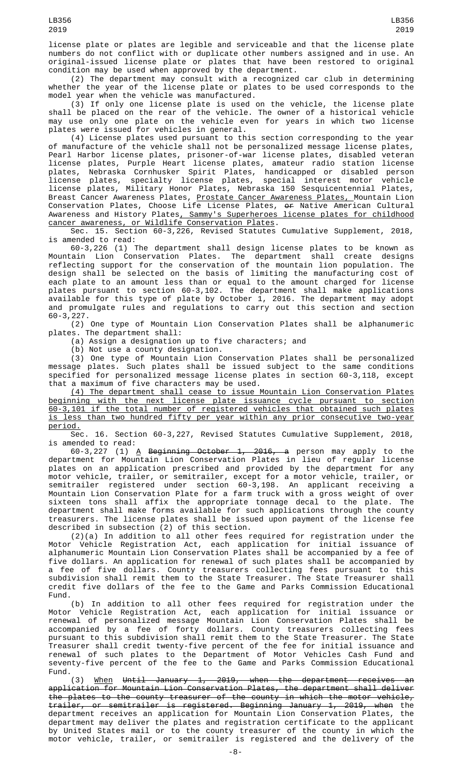(2) The department may consult with a recognized car club in determining whether the year of the license plate or plates to be used corresponds to the model year when the vehicle was manufactured.

(3) If only one license plate is used on the vehicle, the license plate shall be placed on the rear of the vehicle. The owner of a historical vehicle may use only one plate on the vehicle even for years in which two license plates were issued for vehicles in general.

(4) License plates used pursuant to this section corresponding to the year of manufacture of the vehicle shall not be personalized message license plates, Pearl Harbor license plates, prisoner-of-war license plates, disabled veteran license plates, Purple Heart license plates, amateur radio station license plates, Nebraska Cornhusker Spirit Plates, handicapped or disabled person license plates, specialty license plates, special interest motor vehicle license plates, Military Honor Plates, Nebraska 150 Sesquicentennial Plates, Breast Cancer Awareness Plates, <u>Prostate Cancer Awareness Plates, M</u>ountain Lion Conservation Plates, Choose Life License Plates, or Native American Cultural Awareness and History Plates<u>, Sammy's Superheroes license plates for childhood</u> cancer awareness, or Wildlife Conservation Plates.

Sec. 15. Section 60-3,226, Revised Statutes Cumulative Supplement, 2018, is amended to read:

60-3,226 (1) The department shall design license plates to be known as Mountain Lion Conservation Plates. The department shall create designs reflecting support for the conservation of the mountain lion population. The design shall be selected on the basis of limiting the manufacturing cost of each plate to an amount less than or equal to the amount charged for license plates pursuant to section 60-3,102. The department shall make applications available for this type of plate by October 1, 2016. The department may adopt and promulgate rules and regulations to carry out this section and section 60-3,227.

(2) One type of Mountain Lion Conservation Plates shall be alphanumeric plates. The department shall:

(a) Assign a designation up to five characters; and

(b) Not use a county designation.

(3) One type of Mountain Lion Conservation Plates shall be personalized message plates. Such plates shall be issued subject to the same conditions specified for personalized message license plates in section 60-3,118, except that a maximum of five characters may be used.

(4) The department shall cease to issue Mountain Lion Conservation Plates beginning with the next license plate issuance cycle pursuant to section 60-3,101 if the total number of registered vehicles that obtained such plates is less than two hundred fifty per year within any prior consecutive two-year period.

Sec. 16. Section 60-3,227, Revised Statutes Cumulative Supplement, 2018,<br>is amended to read: is amended to read:

60-3,227 (1) <u>A</u> <del>Beginning October 1, 2016, a</del> person may apply to the department for Mountain Lion Conservation Plates in lieu of regular license plates on an application prescribed and provided by the department for any motor vehicle, trailer, or semitrailer, except for a motor vehicle, trailer, or semitrailer registered under section 60-3,198. An applicant receiving a Mountain Lion Conservation Plate for a farm truck with a gross weight of over sixteen tons shall affix the appropriate tonnage decal to the plate. The department shall make forms available for such applications through the county treasurers. The license plates shall be issued upon payment of the license fee described in subsection (2) of this section.

(2)(a) In addition to all other fees required for registration under the Motor Vehicle Registration Act, each application for initial issuance of alphanumeric Mountain Lion Conservation Plates shall be accompanied by a fee of five dollars. An application for renewal of such plates shall be accompanied by a fee of five dollars. County treasurers collecting fees pursuant to this subdivision shall remit them to the State Treasurer. The State Treasurer shall credit five dollars of the fee to the Game and Parks Commission Educational Fund.

(b) In addition to all other fees required for registration under the Motor Vehicle Registration Act, each application for initial issuance or renewal of personalized message Mountain Lion Conservation Plates shall be accompanied by a fee of forty dollars. County treasurers collecting fees pursuant to this subdivision shall remit them to the State Treasurer. The State Treasurer shall credit twenty-five percent of the fee for initial issuance and renewal of such plates to the Department of Motor Vehicles Cash Fund and seventy-five percent of the fee to the Game and Parks Commission Educational Fund.<br>(3)

 $When$  Until January 1, 2019, when the department receives application for Mountain Lion Conservation Plates, the department shall deliver the plates to the county treasurer of the county in which the motor vehicle, trailer, or semitrailer is registered. Beginning January 1, 2019, when the department receives an application for Mountain Lion Conservation Plates, the department may deliver the plates and registration certificate to the applicant by United States mail or to the county treasurer of the county in which the motor vehicle, trailer, or semitrailer is registered and the delivery of the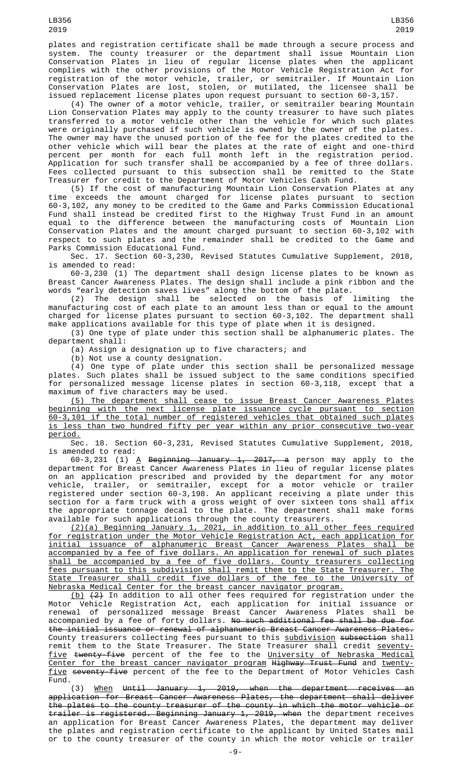plates and registration certificate shall be made through a secure process and system. The county treasurer or the department shall issue Mountain Lion Conservation Plates in lieu of regular license plates when the applicant complies with the other provisions of the Motor Vehicle Registration Act for registration of the motor vehicle, trailer, or semitrailer. If Mountain Lion Conservation Plates are lost, stolen, or mutilated, the licensee shall be issued replacement license plates upon request pursuant to section 60-3,157.

(4) The owner of a motor vehicle, trailer, or semitrailer bearing Mountain Lion Conservation Plates may apply to the county treasurer to have such plates transferred to a motor vehicle other than the vehicle for which such plates were originally purchased if such vehicle is owned by the owner of the plates. The owner may have the unused portion of the fee for the plates credited to the other vehicle which will bear the plates at the rate of eight and one-third percent per month for each full month left in the registration period. Application for such transfer shall be accompanied by a fee of three dollars. Fees collected pursuant to this subsection shall be remitted to the State Treasurer for credit to the Department of Motor Vehicles Cash Fund.

(5) If the cost of manufacturing Mountain Lion Conservation Plates at any time exceeds the amount charged for license plates pursuant to section 60-3,102, any money to be credited to the Game and Parks Commission Educational Fund shall instead be credited first to the Highway Trust Fund in an amount equal to the difference between the manufacturing costs of Mountain Lion Conservation Plates and the amount charged pursuant to section 60-3,102 with respect to such plates and the remainder shall be credited to the Game and Parks Commission Educational Fund.

Sec. 17. Section 60-3,230, Revised Statutes Cumulative Supplement, 2018, is amended to read:

60-3,230 (1) The department shall design license plates to be known as Breast Cancer Awareness Plates. The design shall include a pink ribbon and the words "early detection saves lives" along the bottom of the plate.

(2) The design shall be selected on the basis of limiting the manufacturing cost of each plate to an amount less than or equal to the amount charged for license plates pursuant to section 60-3,102. The department shall make applications available for this type of plate when it is designed.

(3) One type of plate under this section shall be alphanumeric plates. The department shall:

(a) Assign a designation up to five characters; and

(b) Not use a county designation.

(4) One type of plate under this section shall be personalized message plates. Such plates shall be issued subject to the same conditions specified for personalized message license plates in section 60-3,118, except that a maximum of five characters may be used.

(5) The department shall cease to issue Breast Cancer Awareness Plates beginning with the next license plate issuance cycle pursuant to section 60-3,101 if the total number of registered vehicles that obtained such plates is less than two hundred fifty per year within any prior consecutive two-year period.

Sec. 18. Section 60-3,231, Revised Statutes Cumulative Supplement, 2018, is amended to read:

60-3,231 (1) <u>A</u> <del>Beginning January 1, 2017, a</del> person may apply to the department for Breast Cancer Awareness Plates in lieu of regular license plates on an application prescribed and provided by the department for any motor vehicle, trailer, or semitrailer, except for a motor vehicle or trailer registered under section 60-3,198. An applicant receiving a plate under this section for a farm truck with a gross weight of over sixteen tons shall affix the appropriate tonnage decal to the plate. The department shall make forms available for such applications through the county treasurers.

(2)(a) Beginning January 1, 2021, in addition to all other fees required for registration under the Motor Vehicle Registration Act, each application for initial issuance of alphanumeric Breast Cancer Awareness Plates shall be accompanied by a fee of five dollars. An application for renewal of such plates shall be accompanied by a fee of five dollars. County treasurers collecting fees pursuant to this subdivision shall remit them to the State Treasurer. The State Treasurer shall credit five dollars of the fee to the University of Nebraska Medical Center for the breast cancer navigator program.

<u>(b)</u>  $(2)$  In addition to all other fees required for registration under the Motor Vehicle Registration Act, each application for initial issuance or renewal of personalized message Breast Cancer Awareness Plates shall be accompanied by a fee of forty dollars. No such additional fee shall be due for the initial issuance or renewal of alphanumeric Breast Cancer Awareness Plates. County treasurers collecting fees pursuant to this <u>subdivision</u> <del>subsection</del> shall remit them to the State Treasurer. The State Treasurer shall credit seventyfive twenty-five percent of the fee to the University of Nebraska Medical Center for the breast cancer navigator program Highway Trust Fund and twentyfive seventy-five percent of the fee to the Department of Motor Vehicles Cash Fund.

(3) When Until January 1, 2019, when the department receives an application for Breast Cancer Awareness Plates, the department shall deliver the plates to the county treasurer of the county in which the motor vehicle or trailer is registered. Beginning January 1, 2019, when the department receives an application for Breast Cancer Awareness Plates, the department may deliver the plates and registration certificate to the applicant by United States mail or to the county treasurer of the county in which the motor vehicle or trailer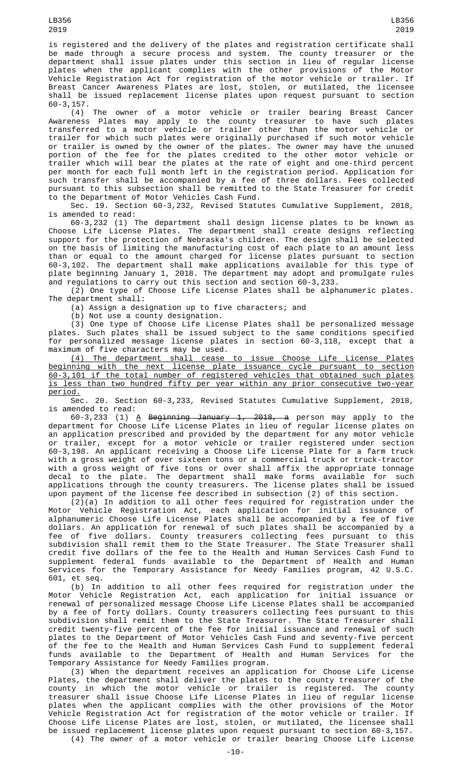is registered and the delivery of the plates and registration certificate shall be made through a secure process and system. The county treasurer or the department shall issue plates under this section in lieu of regular license plates when the applicant complies with the other provisions of the Motor Vehicle Registration Act for registration of the motor vehicle or trailer. If Breast Cancer Awareness Plates are lost, stolen, or mutilated, the licensee shall be issued replacement license plates upon request pursuant to section 60-3,157.

(4) The owner of a motor vehicle or trailer bearing Breast Cancer Awareness Plates may apply to the county treasurer to have such plates transferred to a motor vehicle or trailer other than the motor vehicle or trailer for which such plates were originally purchased if such motor vehicle or trailer is owned by the owner of the plates. The owner may have the unused portion of the fee for the plates credited to the other motor vehicle or trailer which will bear the plates at the rate of eight and one-third percent per month for each full month left in the registration period. Application for such transfer shall be accompanied by a fee of three dollars. Fees collected pursuant to this subsection shall be remitted to the State Treasurer for credit to the Department of Motor Vehicles Cash Fund.

Sec. 19. Section 60-3,232, Revised Statutes Cumulative Supplement, 2018, is amended to read:

60-3,232 (1) The department shall design license plates to be known as Choose Life License Plates. The department shall create designs reflecting support for the protection of Nebraska's children. The design shall be selected on the basis of limiting the manufacturing cost of each plate to an amount less than or equal to the amount charged for license plates pursuant to section 60-3,102. The department shall make applications available for this type of plate beginning January 1, 2018. The department may adopt and promulgate rules and regulations to carry out this section and section 60-3,233.

(2) One type of Choose Life License Plates shall be alphanumeric plates. The department shall:

(a) Assign a designation up to five characters; and

(b) Not use a county designation.

(3) One type of Choose Life License Plates shall be personalized message plates. Such plates shall be issued subject to the same conditions specified for personalized message license plates in section 60-3,118, except that a maximum of five characters may be used.

(4) The department shall cease to issue Choose Life License Plates beginning with the next license plate issuance cycle pursuant to section 60-3,101 if the total number of registered vehicles that obtained such plates is less than two hundred fifty per year within any prior consecutive two-year period.

Sec. 20. Section 60-3,233, Revised Statutes Cumulative Supplement, 2018, is amended to read:

60-3,233 (1) <u>A</u> <del>Beginning January 1, 2018, a</del> person may apply to the department for Choose Life License Plates in lieu of regular license plates on an application prescribed and provided by the department for any motor vehicle or trailer, except for a motor vehicle or trailer registered under section 60-3,198. An applicant receiving a Choose Life License Plate for a farm truck with a gross weight of over sixteen tons or a commercial truck or truck-tractor with a gross weight of five tons or over shall affix the appropriate tonnage decal to the plate. The department shall make forms available for such applications through the county treasurers. The license plates shall be issued upon payment of the license fee described in subsection (2) of this section.

(2)(a) In addition to all other fees required for registration under the Motor Vehicle Registration Act, each application for initial issuance of alphanumeric Choose Life License Plates shall be accompanied by a fee of five dollars. An application for renewal of such plates shall be accompanied by a fee of five dollars. County treasurers collecting fees pursuant to this subdivision shall remit them to the State Treasurer. The State Treasurer shall credit five dollars of the fee to the Health and Human Services Cash Fund to supplement federal funds available to the Department of Health and Human Services for the Temporary Assistance for Needy Families program, 42 U.S.C. 601, et seq.

(b) In addition to all other fees required for registration under the Motor Vehicle Registration Act, each application for initial issuance or renewal of personalized message Choose Life License Plates shall be accompanied by a fee of forty dollars. County treasurers collecting fees pursuant to this subdivision shall remit them to the State Treasurer. The State Treasurer shall credit twenty-five percent of the fee for initial issuance and renewal of such plates to the Department of Motor Vehicles Cash Fund and seventy-five percent of the fee to the Health and Human Services Cash Fund to supplement federal funds available to the Department of Health and Human Services for the Temporary Assistance for Needy Families program.

(3) When the department receives an application for Choose Life License Plates, the department shall deliver the plates to the county treasurer of the county in which the motor vehicle or trailer is registered. The county treasurer shall issue Choose Life License Plates in lieu of regular license plates when the applicant complies with the other provisions of the Motor Vehicle Registration Act for registration of the motor vehicle or trailer. If Choose Life License Plates are lost, stolen, or mutilated, the licensee shall be issued replacement license plates upon request pursuant to section 60-3,157. (4) The owner of a motor vehicle or trailer bearing Choose Life License

LB356 2019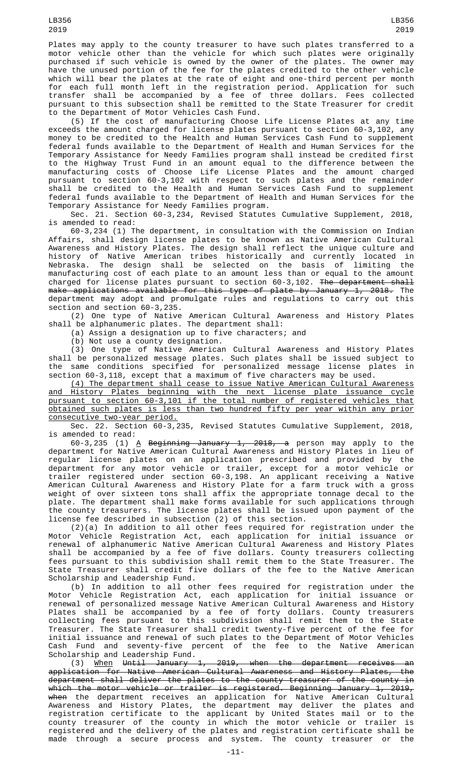Plates may apply to the county treasurer to have such plates transferred to a motor vehicle other than the vehicle for which such plates were originally purchased if such vehicle is owned by the owner of the plates. The owner may have the unused portion of the fee for the plates credited to the other vehicle which will bear the plates at the rate of eight and one-third percent per month for each full month left in the registration period. Application for such transfer shall be accompanied by a fee of three dollars. Fees collected pursuant to this subsection shall be remitted to the State Treasurer for credit to the Department of Motor Vehicles Cash Fund.

(5) If the cost of manufacturing Choose Life License Plates at any time exceeds the amount charged for license plates pursuant to section 60-3,102, any money to be credited to the Health and Human Services Cash Fund to supplement federal funds available to the Department of Health and Human Services for the Temporary Assistance for Needy Families program shall instead be credited first to the Highway Trust Fund in an amount equal to the difference between the manufacturing costs of Choose Life License Plates and the amount charged pursuant to section 60-3,102 with respect to such plates and the remainder shall be credited to the Health and Human Services Cash Fund to supplement federal funds available to the Department of Health and Human Services for the Temporary Assistance for Needy Families program.

Sec. 21. Section 60-3,234, Revised Statutes Cumulative Supplement, 2018, is amended to read:

60-3,234 (1) The department, in consultation with the Commission on Indian Affairs, shall design license plates to be known as Native American Cultural Awareness and History Plates. The design shall reflect the unique culture and history of Native American tribes historically and currently located in Nebraska. The design shall be selected on the basis of limiting the manufacturing cost of each plate to an amount less than or equal to the amount charged for license plates pursuant to section 60-3,102. The department shall make applications available for this type of plate by January 1, 2018. The department may adopt and promulgate rules and regulations to carry out this section and section 60-3,235.

(2) One type of Native American Cultural Awareness and History Plates shall be alphanumeric plates. The department shall:

(a) Assign a designation up to five characters; and

(b) Not use a county designation.

(3) One type of Native American Cultural Awareness and History Plates shall be personalized message plates. Such plates shall be issued subject to the same conditions specified for personalized message license plates in section 60-3,118, except that a maximum of five characters may be used.

(4) The department shall cease to issue Native American Cultural Awareness and History Plates beginning with the next license plate issuance cycle pursuant to section 60-3,101 if the total number of registered vehicles that obtained such plates is less than two hundred fifty per year within any prior consecutive two-year period.

Sec. 22. Section 60-3,235, Revised Statutes Cumulative Supplement, 2018, is amended to read:

60-3,235 (1) <u>A</u> <del>Beginning January 1, 2018, a</del> person may apply to the department for Native American Cultural Awareness and History Plates in lieu of regular license plates on an application prescribed and provided by the department for any motor vehicle or trailer, except for a motor vehicle or trailer registered under section 60-3,198. An applicant receiving a Native American Cultural Awareness and History Plate for a farm truck with a gross weight of over sixteen tons shall affix the appropriate tonnage decal to the plate. The department shall make forms available for such applications through the county treasurers. The license plates shall be issued upon payment of the license fee described in subsection (2) of this section.

(2)(a) In addition to all other fees required for registration under the Motor Vehicle Registration Act, each application for initial issuance or renewal of alphanumeric Native American Cultural Awareness and History Plates shall be accompanied by a fee of five dollars. County treasurers collecting fees pursuant to this subdivision shall remit them to the State Treasurer. The State Treasurer shall credit five dollars of the fee to the Native American Scholarship and Leadership Fund.

(b) In addition to all other fees required for registration under the Motor Vehicle Registration Act, each application for initial issuance or renewal of personalized message Native American Cultural Awareness and History Plates shall be accompanied by a fee of forty dollars. County treasurers collecting fees pursuant to this subdivision shall remit them to the State Treasurer. The State Treasurer shall credit twenty-five percent of the fee for initial issuance and renewal of such plates to the Department of Motor Vehicles Cash Fund and seventy-five percent of the fee to the Native American Scholarship and Leadership Fund.

(3) When Until January 1, 2019, when the department receives an application for Native American Cultural Awareness and History Plates, the department shall deliver the plates to the county treasurer of the county in which the motor vehicle or trailer is registered. Beginning January 1, 2019, <del>when</del> the department receives an application for Native American Cultural Awareness and History Plates, the department may deliver the plates and registration certificate to the applicant by United States mail or to the county treasurer of the county in which the motor vehicle or trailer is registered and the delivery of the plates and registration certificate shall be made through a secure process and system. The county treasurer or the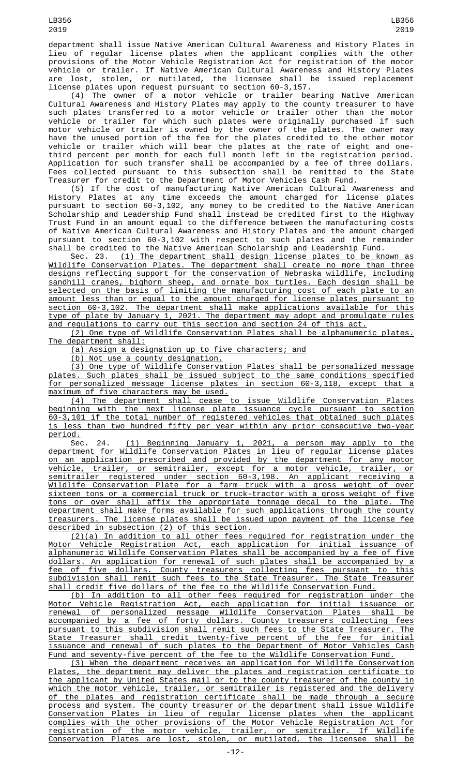department shall issue Native American Cultural Awareness and History Plates in lieu of regular license plates when the applicant complies with the other provisions of the Motor Vehicle Registration Act for registration of the motor vehicle or trailer. If Native American Cultural Awareness and History Plates are lost, stolen, or mutilated, the licensee shall be issued replacement license plates upon request pursuant to section 60-3,157.

(4) The owner of a motor vehicle or trailer bearing Native American Cultural Awareness and History Plates may apply to the county treasurer to have such plates transferred to a motor vehicle or trailer other than the motor vehicle or trailer for which such plates were originally purchased if such motor vehicle or trailer is owned by the owner of the plates. The owner may have the unused portion of the fee for the plates credited to the other motor vehicle or trailer which will bear the plates at the rate of eight and onethird percent per month for each full month left in the registration period. Application for such transfer shall be accompanied by a fee of three dollars. Fees collected pursuant to this subsection shall be remitted to the State Treasurer for credit to the Department of Motor Vehicles Cash Fund.

(5) If the cost of manufacturing Native American Cultural Awareness and History Plates at any time exceeds the amount charged for license plates pursuant to section 60-3,102, any money to be credited to the Native American Scholarship and Leadership Fund shall instead be credited first to the Highway Trust Fund in an amount equal to the difference between the manufacturing costs of Native American Cultural Awareness and History Plates and the amount charged pursuant to section 60-3,102 with respect to such plates and the remainder shall be credited to the Native American Scholarship and Leadership Fund.

Sec. 23. <u>(1) The department shall design license plates to be known as</u> Wildlife Conservation Plates. The department shall create no more than three designs reflecting support for the conservation of Nebraska wildlife, including sandhill cranes, bighorn sheep, and ornate box turtles. Each design shall be selected on the basis of limiting the manufacturing cost of each plate to an amount less than or equal to the amount charged for license plates pursuant to section 60-3,102. The department shall make applications available for this type of plate by January 1, 2021. The department may adopt and promulgate rules and regulations to carry out this section and section 24 of this act.

(2) One type of Wildlife Conservation Plates shall be alphanumeric plates. The department shall:

(a) Assign a designation up to five characters; and

(b) Not use a county designation.

(3) One type of Wildlife Conservation Plates shall be personalized message plates. Such plates shall be issued subject to the same conditions specified for personalized message license plates in section 60-3,118, except that a maximum of five characters may be used.

(4) The department shall cease to issue Wildlife Conservation Plates beginning with the next license plate issuance cycle pursuant to section 60-3,101 if the total number of registered vehicles that obtained such plates is less than two hundred fifty per year within any prior consecutive two-year period.<br>Sec.

24. (1) Beginning January 1, 2021, a person may apply to the department for Wildlife Conservation Plates in lieu of regular license plates on an application prescribed and provided by the department for any motor vehicle, trailer, or semitrailer, except for a motor vehicle, trailer, or semitrailer registered under section 60-3,198. An applicant receiving a Wildlife Conservation Plate for a farm truck with a gross weight of over sixteen tons or a commercial truck or truck-tractor with a gross weight of five tons or over shall affix the appropriate tonnage decal to the plate. The department shall make forms available for such applications through the county treasurers. The license plates shall be issued upon payment of the license fee described in subsection (2) of this section.

(2)(a) In addition to all other fees required for registration under the Motor Vehicle Registration Act, each application for initial issuance of alphanumeric Wildlife Conservation Plates shall be accompanied by a fee of five dollars. An application for renewal of such plates shall be accompanied by a fee of five dollars. County treasurers collecting fees pursuant to this subdivision shall remit such fees to the State Treasurer. The State Treasurer shall credit five dollars of the fee to the Wildlife Conservation Fund.

(b) In addition to all other fees required for registration under the Motor Vehicle Registration Act, each application for initial issuance or renewal of personalized message Wildlife Conservation Plates shall be accompanied by a fee of forty dollars. County treasurers collecting fees pursuant to this subdivision shall remit such fees to the State Treasurer. The State Treasurer shall credit twenty-five percent of the fee for initial issuance and renewal of such plates to the Department of Motor Vehicles Cash Fund and seventy-five percent of the fee to the Wildlife Conservation Fund.

(3) When the department receives an application for Wildlife Conservation Plates, the department may deliver the plates and registration certificate to the applicant by United States mail or to the county treasurer of the county in which the motor vehicle, trailer, or semitrailer is registered and the delivery of the plates and registration certificate shall be made through a secure process and system. The county treasurer or the department shall issue Wildlife Conservation Plates in lieu of regular license plates when the applicant complies with the other provisions of the Motor Vehicle Registration Act for registration of the motor vehicle, trailer, or semitrailer. If Wildlife Conservation Plates are lost, stolen, or mutilated, the licensee shall be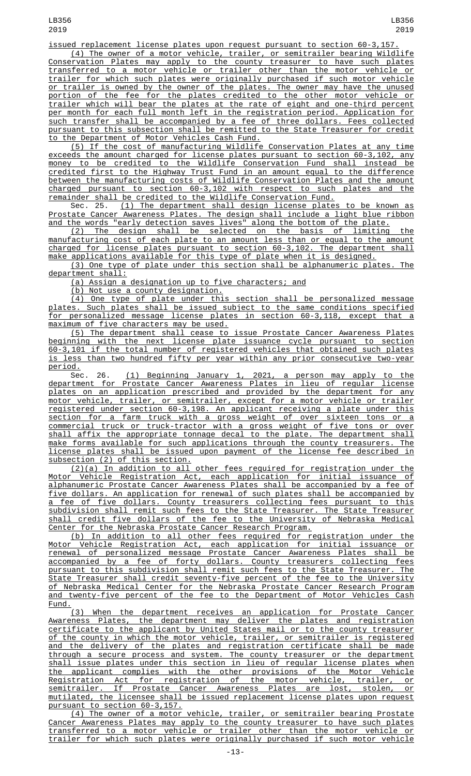issued replacement license plates upon request pursuant to section 60-3,157. (4) The owner of a motor vehicle, trailer, or semitrailer bearing Wildlife Conservation Plates may apply to the county treasurer to have such plates

transferred to a motor vehicle or trailer other than the motor vehicle or trailer for which such plates were originally purchased if such motor vehicle or trailer is owned by the owner of the plates. The owner may have the unused portion of the fee for the plates credited to the other motor vehicle or trailer which will bear the plates at the rate of eight and one-third percent per month for each full month left in the registration period. Application for such transfer shall be accompanied by a fee of three dollars. Fees collected pursuant to this subsection shall be remitted to the State Treasurer for credit to the Department of Motor Vehicles Cash Fund.

(5) If the cost of manufacturing Wildlife Conservation Plates at any time exceeds the amount charged for license plates pursuant to section 60-3,102, any money to be credited to the Wildlife Conservation Fund shall instead be credited first to the Highway Trust Fund in an amount equal to the difference between the manufacturing costs of Wildlife Conservation Plates and the amount charged pursuant to section 60-3,102 with respect to such plates and the remainder shall be credited to the Wildlife Conservation Fund.

Sec. 25. <u>(1) The department shall design license plates to be known as</u> Prostate Cancer Awareness Plates. The design shall include a light blue ribbon and the words "early detection saves lives" along the bottom of the plate.

(2) The design shall be selected on the basis of limiting the manufacturing cost of each plate to an amount less than or equal to the amount charged for license plates pursuant to section 60-3,102. The department shall make applications available for this type of plate when it is designed.

(3) One type of plate under this section shall be alphanumeric plates. The department shall:

(a) Assign a designation up to five characters; and

(b) Not use a county designation.<br>(4) One type of plate under this section shall be personalized message plates. Such plates shall be issued subject to the same conditions specified for personalized message license plates in section 60-3,118, except that a maximum of five characters may be used.

(5) The department shall cease to issue Prostate Cancer Awareness Plates beginning with the next license plate issuance cycle pursuant to section 60-3,101 if the total number of registered vehicles that obtained such plates is less than two hundred fifty per year within any prior consecutive two-year period.

Sec. 26. (1) Beginning January 1, 2021, a person may apply to the department for Prostate Cancer Awareness Plates in lieu of regular license plates on an application prescribed and provided by the department for any motor vehicle, trailer, or semitrailer, except for a motor vehicle or trailer registered under section 60-3,198. An applicant receiving a plate under this section for a farm truck with a gross weight of over sixteen tons or a commercial truck or truck-tractor with a gross weight of five tons or over shall affix the appropriate tonnage decal to the plate. The department shall make forms available for such applications through the county treasurers. The license plates shall be issued upon payment of the license fee described in subsection (2) of this section.

(2)(a) In addition to all other fees required for registration under the Motor Vehicle Registration Act, each application for initial issuance of alphanumeric Prostate Cancer Awareness Plates shall be accompanied by a fee of five dollars. An application for renewal of such plates shall be accompanied by a fee of five dollars. County treasurers collecting fees pursuant to this subdivision shall remit such fees to the State Treasurer. The State Treasurer shall credit five dollars of the fee to the University of Nebraska Medical Center for the Nebraska Prostate Cancer Research Program.

(b) In addition to all other fees required for registration under the Motor Vehicle Registration Act, each application for initial issuance or renewal of personalized message Prostate Cancer Awareness Plates shall be accompanied by a fee of forty dollars. County treasurers collecting fees pursuant to this subdivision shall remit such fees to the State Treasurer. The State Treasurer shall credit seventy-five percent of the fee to the University of Nebraska Medical Center for the Nebraska Prostate Cancer Research Program and twenty-five percent of the fee to the Department of Motor Vehicles Cash Fund.

(3) When the department receives an application for Prostate Cancer Awareness Plates, the department may deliver the plates and registration certificate to the applicant by United States mail or to the county treasurer of the county in which the motor vehicle, trailer, or semitrailer is registered and the delivery of the plates and registration certificate shall be made through a secure process and system. The county treasurer or the department shall issue plates under this section in lieu of regular license plates when the applicant complies with the other provisions of the Motor Vehicle Registration Act for registration of the motor vehicle, trailer, or semitrailer. If Prostate Cancer Awareness Plates are lost, stolen, or mutilated, the licensee shall be issued replacement license plates upon request pursuant to section 60-3,157.

(4) The owner of a motor vehicle, trailer, or semitrailer bearing Prostate Cancer Awareness Plates may apply to the county treasurer to have such plates transferred to a motor vehicle or trailer other than the motor vehicle or trailer for which such plates were originally purchased if such motor vehicle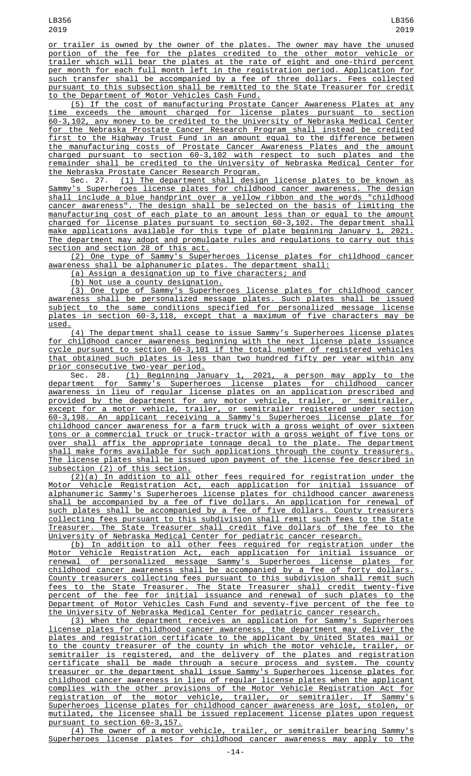or trailer is owned by the owner of the plates. The owner may have the unused portion of the fee for the plates credited to the other motor vehicle or trailer which will bear the plates at the rate of eight and one-third percent per month for each full month left in the registration period. Application for such transfer shall be accompanied by a fee of three dollars. Fees collected pursuant to this subsection shall be remitted to the State Treasurer for credit to the Department of Motor Vehicles Cash Fund.

(5) If the cost of manufacturing Prostate Cancer Awareness Plates at any time exceeds the amount charged for license plates pursuant to section 60-3,102, any money to be credited to the University of Nebraska Medical Center for the Nebraska Prostate Cancer Research Program shall instead be credited first to the Highway Trust Fund in an amount equal to the difference between the manufacturing costs of Prostate Cancer Awareness Plates and the amount charged pursuant to section 60-3,102 with respect to such plates and the remainder shall be credited to the University of Nebraska Medical Center for the Nebraska Prostate Cancer Research Program.<br>Sec. 27. <u>(1) The department shall design license plates to be known as</u>

Sec. 27. <u>(1) The department shall design license plates to be known as</u> Sammy's Superheroes license plates for childhood cancer awareness. The design shall include a blue handprint over a yellow ribbon and the words "childhood cancer awareness". The design shall be selected on the basis of limiting the manufacturing cost of each plate to an amount less than or equal to the amount charged for license plates pursuant to section 60-3,102. The department shall make applications available for this type of plate beginning January 1, 2021. The department may adopt and promulgate rules and regulations to carry out this section and section 28 of this act.

(2) One type of Sammy's Superheroes license plates for childhood cancer awareness shall be alphanumeric plates. The department shall:

(a) Assign a designation up to five characters; and

(b) Not use a county designation.

(3) One type of Sammy's Superheroes license plates for childhood cancer awareness shall be personalized message plates. Such plates shall be issued subject to the same conditions specified for personalized message license plates in section 60-3,118, except that a maximum of five characters may be used.

(4) The department shall cease to issue Sammy's Superheroes license plates for childhood cancer awareness beginning with the next license plate issuance cycle pursuant to section 60-3,101 if the total number of registered vehicles that obtained such plates is less than two hundred fifty per year within any prior consecutive two-year period.

Sec. 28. (1) Beginning January 1, 2021, a person may apply to the department for Sammy's Superheroes license plates for childhood cancer awareness in lieu of regular license plates on an application prescribed and provided by the department for any motor vehicle, trailer, or semitrailer, except for a motor vehicle, trailer, or semitrailer registered under section 60-3,198. An applicant receiving a Sammy's Superheroes license plate for childhood cancer awareness for a farm truck with a gross weight of over sixteen <u>tons or a commercial truck or truck-tractor with a gross weight of five tons or</u><br>over shall affix the appropriate tonnage decal to the plate. The denartment shall affix the appropriate tonnage decal to the plate. The department shall make forms available for such applications through the county treasurers. The license plates shall be issued upon payment of the license fee described in subsection (2) of this section.

(2)(a) In addition to all other fees required for registration under the Motor Vehicle Registration Act, each application for initial issuance of alphanumeric Sammy's Superheroes license plates for childhood cancer awareness shall be accompanied by a fee of five dollars. An application for renewal of such plates shall be accompanied by a fee of five dollars. County treasurers collecting fees pursuant to this subdivision shall remit such fees to the State<br>Treasurer. The State Treasurer shall credit five dollars of the fee to the The State Treasurer shall credit five dollars of the fee to the University of Nebraska Medical Center for pediatric cancer research.

(b) In addition to all other fees required for registration under the Motor Vehicle Registration Act, each application for initial issuance or renewal of personalized message Sammy's Superheroes license plates for childhood cancer awareness shall be accompanied by a fee of forty dollars. County treasurers collecting fees pursuant to this subdivision shall remit such fees to the State Treasurer. The State Treasurer shall credit twenty-five percent of the fee for initial issuance and renewal of such plates to the Department of Motor Vehicles Cash Fund and seventy-five percent of the fee to the University of Nebraska Medical Center for pediatric cancer research.

(3) When the department receives an application for Sammy's Superheroes license plates for childhood cancer awareness, the department may deliver the plates and registration certificate to the applicant by United States mail or to the county treasurer of the county in which the motor vehicle, trailer, or semitrailer is registered, and the delivery of the plates and registration certificate shall be made through a secure process and system. The county treasurer or the department shall issue Sammy's Superheroes license plates for childhood cancer awareness in lieu of regular license plates when the applicant complies with the other provisions of the Motor Vehicle Registration Act for registration of the motor vehicle, trailer, or semitrailer. If Sammy's Superheroes license plates for childhood cancer awareness are lost, stolen, or mutilated, the licensee shall be issued replacement license plates upon request pursuant to section 60-3,157.

(4) The owner of a motor vehicle, trailer, or semitrailer bearing Sammy's Superheroes license plates for childhood cancer awareness may apply to the